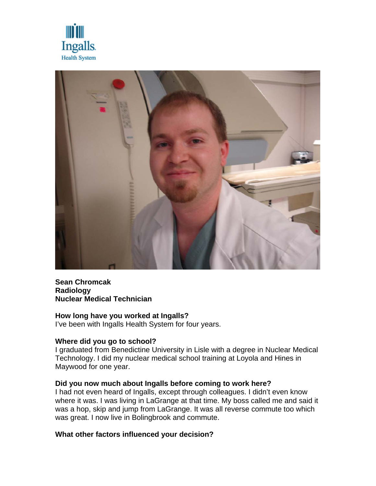



## **Sean Chromcak Radiology Nuclear Medical Technician**

# **How long have you worked at Ingalls?**

I've been with Ingalls Health System for four years.

## **Where did you go to school?**

I graduated from Benedictine University in Lisle with a degree in Nuclear Medical Technology. I did my nuclear medical school training at Loyola and Hines in Maywood for one year.

## **Did you now much about Ingalls before coming to work here?**

I had not even heard of Ingalls, except through colleagues. I didn't even know where it was. I was living in LaGrange at that time. My boss called me and said it was a hop, skip and jump from LaGrange. It was all reverse commute too which was great. I now live in Bolingbrook and commute.

## **What other factors influenced your decision?**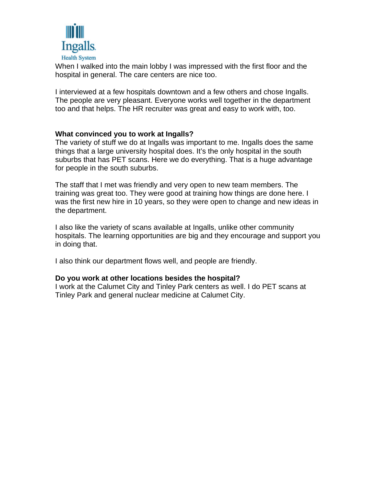

When I walked into the main lobby I was impressed with the first floor and the hospital in general. The care centers are nice too.

I interviewed at a few hospitals downtown and a few others and chose Ingalls. The people are very pleasant. Everyone works well together in the department too and that helps. The HR recruiter was great and easy to work with, too.

#### **What convinced you to work at Ingalls?**

The variety of stuff we do at Ingalls was important to me. Ingalls does the same things that a large university hospital does. It's the only hospital in the south suburbs that has PET scans. Here we do everything. That is a huge advantage for people in the south suburbs.

The staff that I met was friendly and very open to new team members. The training was great too. They were good at training how things are done here. I was the first new hire in 10 years, so they were open to change and new ideas in the department.

I also like the variety of scans available at Ingalls, unlike other community hospitals. The learning opportunities are big and they encourage and support you in doing that.

I also think our department flows well, and people are friendly.

## **Do you work at other locations besides the hospital?**

I work at the Calumet City and Tinley Park centers as well. I do PET scans at Tinley Park and general nuclear medicine at Calumet City.